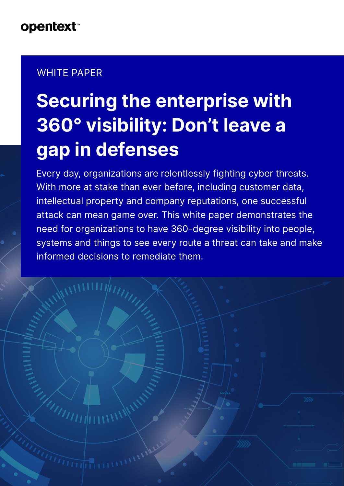### WHITE PAPER

**THIMMIN** 

# **Securing the enterprise with 360° visibility: Don't leave a gap in defenses**

Every day, organizations are relentlessly fighting cyber threats. With more at stake than ever before, including customer data, intellectual property and company reputations, one successful attack can mean game over. This white paper demonstrates the need for organizations to have 360-degree visibility into people, systems and things to see every route a threat can take and make informed decisions to remediate them.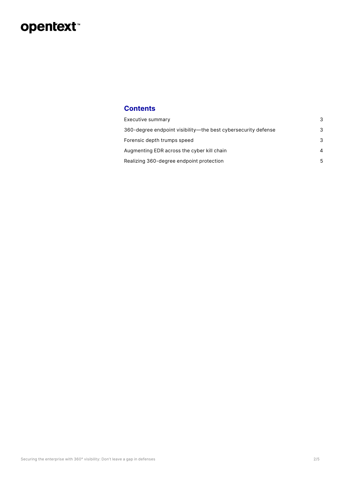### opentext<sup>\*</sup>

#### **Contents**

| Executive summary                                             | 3         |
|---------------------------------------------------------------|-----------|
| 360-degree endpoint visibility—the best cybersecurity defense | 3         |
| Forensic depth trumps speed                                   | 3         |
| Augmenting EDR across the cyber kill chain                    | $\Lambda$ |
| Realizing 360-degree endpoint protection                      | 5         |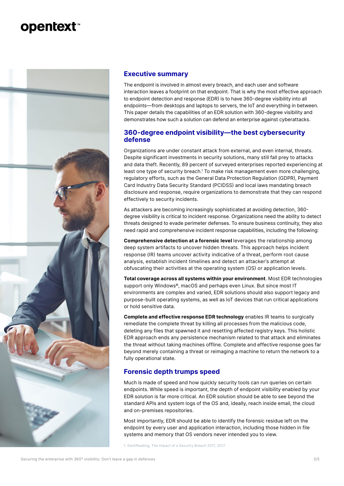<span id="page-2-0"></span>

#### **Executive summary**

The endpoint is involved in almost every breach, and each user and software interaction leaves a footprint on that endpoint. That is why the most effective approach to endpoint detection and response (EDR) is to have 360-degree visibility into all endpoints—from desktops and laptops to servers, the IoT and everything in between. This paper details the capabilities of an EDR solution with 360-degree visibility and demonstrates how such a solution can defend an enterprise against cyberattacks.

#### **360-degree endpoint visibility—the best cybersecurity defense**

Organizations are under constant attack from external, and even internal, threats. Despite significant investments in security solutions, many still fall prey to attacks and data theft. Recently, 89 percent of surveyed enterprises reported experiencing at least one type of security breach.1 To make risk management even more challenging, regulatory efforts, such as the General Data Protection Regulation (GDPR), Payment Card Industry Data Security Standard (PCIDSS) and local laws mandating breach disclosure and response, require organizations to demonstrate that they can respond effectively to security incidents.

As attackers are becoming increasingly sophisticated at avoiding detection, 360 degree visibility is critical to incident response. Organizations need the ability to detect threats designed to evade perimeter defenses. To ensure business continuity, they also need rapid and comprehensive incident response capabilities, including the following:

**Comprehensive detection at a forensic level** leverages the relationship among deep system artifacts to uncover hidden threats. This approach helps incident response (IR) teams uncover activity indicative of a threat, perform root cause analysis, establish incident timelines and detect an attacker's attempt at obfuscating their activities at the operating system (OS) or application levels.

**Total coverage across all systems within your environment**. Most EDR technologies support only Windows<sup>®</sup>, macOS and perhaps even Linux. But since most IT environments are complex and varied, EDR solutions should also support legacy and purpose-built operating systems, as well as IoT devices that run critical applications or hold sensitive data.

**Complete and effective response EDR technology** enables IR teams to surgically remediate the complete threat by killing all processes from the malicious code, deleting any files that spawned it and resetting affected registry keys. This holistic EDR approach ends any persistence mechanism related to that attack and eliminates the threat without taking machines offline. Complete and effective response goes far beyond merely containing a threat or reimaging a machine to return the network to a fully operational state.

#### **Forensic depth trumps speed**

Much is made of speed and how quickly security tools can run queries on certain endpoints. While speed is important, the depth of endpoint visibility enabled by your EDR solution is far more critical. An EDR solution should be able to see beyond the standard APIs and system logs of the OS and, ideally, reach inside email, the cloud and on-premises repositories.

Most importantly, EDR should be able to identify the forensic residue left on the endpoint by every user and application interaction, including those hidden in file systems and memory that OS vendors never intended you to view.

1. DarkReading, The Impact of a Security Breach 2017, 2017.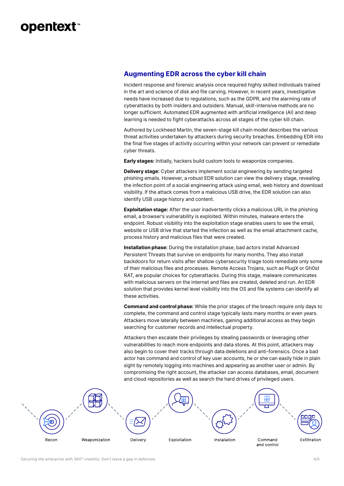#### <span id="page-3-0"></span>**Augmenting EDR across the cyber kill chain**

Incident response and forensic analysis once required highly skilled individuals trained in the art and science of disk and file carving. However, in recent years, investigative needs have increased due to regulations, such as the GDPR, and the alarming rate of cyberattacks by both insiders and outsiders. Manual, skill-intensive methods are no longer sufficient. Automated EDR augmented with artificial intelligence (AI) and deep learning is needed to fight cyberattacks across all stages of the cyber kill chain.

Authored by Lockheed Martin, the seven-stage kill chain model describes the various threat activities undertaken by attackers during security breaches. Embedding EDR into the final five stages of activity occurring within your network can prevent or remediate cyber threats.

**Early stages:** Initially, hackers build custom tools to weaponize companies.

**Delivery stage:** Cyber attackers implement social engineering by sending targeted phishing emails. However, a robust EDR solution can view the delivery stage, revealing the infection point of a social engineering attack using email, web history and download visibility. If the attack comes from a malicious USB drive, the EDR solution can also identify USB usage history and content.

**Exploitation stage:** After the user inadvertently clicks a malicious URL in the phishing email, a browser's vulnerability is exploited. Within minutes, malware enters the endpoint. Robust visibility into the exploitation stage enables users to see the email, website or USB drive that started the infection as well as the email attachment cache, process history and malicious files that were created.

**Installation phase:** During the installation phase, bad actors install Advanced Persistent Threats that survive on endpoints for many months. They also install backdoors for return visits after shallow cybersecurity triage tools remediate only some of their malicious files and processes. Remote Access Trojans, such as PlugX or Gh0st RAT, are popular choices for cyberattacks. During this stage, malware communicates with malicious servers on the internet and files are created, deleted and run. An EDR solution that provides kernel level visibility into the OS and file systems can identify all these activities.

**Command and control phase:** While the prior stages of the breach require only days to complete, the command and control stage typically lasts many months or even years. Attackers move laterally between machines, gaining additional access as they begin searching for customer records and intellectual property.

Attackers then escalate their privileges by stealing passwords or leveraging other vulnerabilities to reach more endpoints and data stores. At this point, attackers may also begin to cover their tracks through data deletions and anti-forensics. Once a bad actor has command and control of key user accounts, he or she can easily hide in plain sight by remotely logging into machines and appearing as another user or admin. By compromising the right account, the attacker can access databases, email, document and cloud repositories as well as search the hard drives of privileged users.